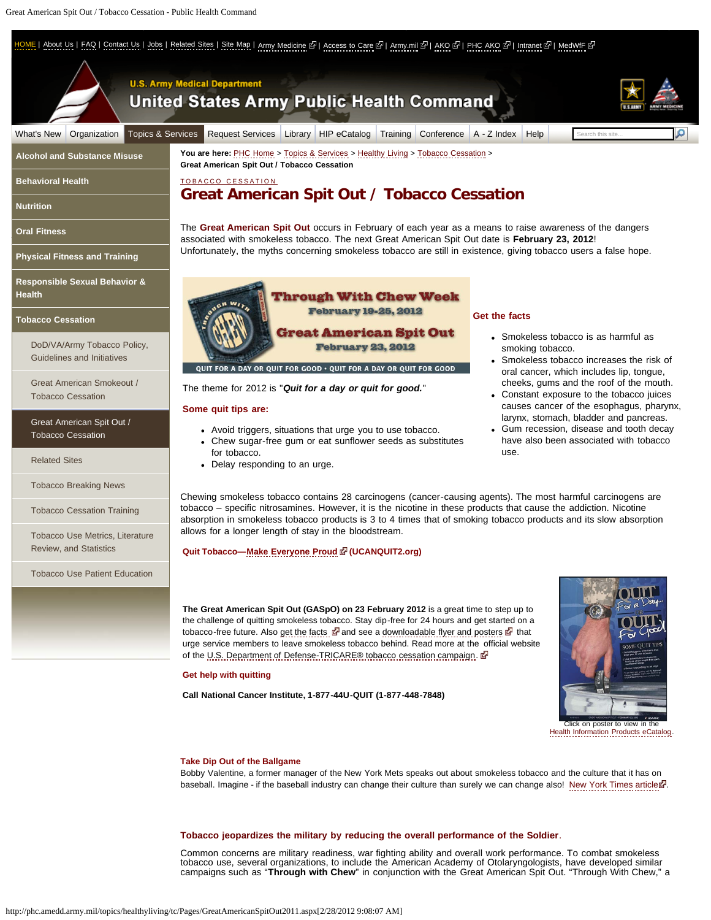<span id="page-0-0"></span>E | [About Us](http://phc.amedd.army.mil/Pages/About.aspx) | [FAQ](http://phc.amedd.army.mil/Pages/FAQ.aspx) | [Contact Us](http://phc.amedd.army.mil/Pages/Contact.aspx) | [Jobs](http://phc.amedd.army.mil/Pages/Jobs.aspx) | [Related Sites](http://phc.amedd.army.mil/Pages/RelatedSites.aspx) | [Site Map](http://phc.amedd.army.mil/Pages/SiteMap.aspx) | [Army Medicine](http://www.armymedicine.army.mil/) 라 | [Access to Care](http://www.tricare.mil/mtf) 라 | [Army.mil](http://www.army.mil/) 라 | [AKO](http://www.us.army.mil/) 라 | [PHC AKO](https://www.us.army.mil/suite/login/login.fcc?TYPE=33554433&REALMOID=06-56ac77cd-98b2-1009-96b6-84a74d100cb3&GUID=&SMAUTHREASON=0&METHOD=GET&SMAGENTNAME=-SM-Dgs1Cox22Zw5Nc04OY%2bt%2bTd77GJKuMDDt2tYw6HY7Aue1oe%2fViOQSbne%2fSIpOsA5&TARGET=-SM-http%3a%2f%2fwww%2eus%2earmy%2emil%2fSmKBAuth%2fLoginEnrollmentForms%2fSmKBAuth%2efcc%3fTYPE%3d33554432%26REALMOID%3d06--b476a858--73dc--10a1--9a8e--832f882fff3d%26GUID%3d%26SMAUTHREASON%3d0%26METHOD%3dGET%26SMAGENTNAME%3d--SM--vXO-%2bYjxhl6RVVzPhP5qziY3Qqv58168oja81Ux8nYYl9AjW7Fl7DaNcXHG14hZkk%26TARGET%3d--SM--http-%3a-%2f-%2fwww-%2eus-%2earmy-%2emil-%2fsuite-%2fpage-%2f109) 라 | [Intranet](https://iphc.amedd.army.mil/) 라 | [MedWfF](https://www.us.army.mil/suite/page/131414) 라



### **Tobacco jeopardizes the military by reducing the overall performance of the Soldier**.

Common concerns are military readiness, war fighting ability and overall work performance. To combat smokeless tobacco use, several organizations, to include the American Academy of Otolaryngologists, have developed similar campaigns such as "**Through with Chew**" in conjunction with the Great American Spit Out. "Through With Chew," a